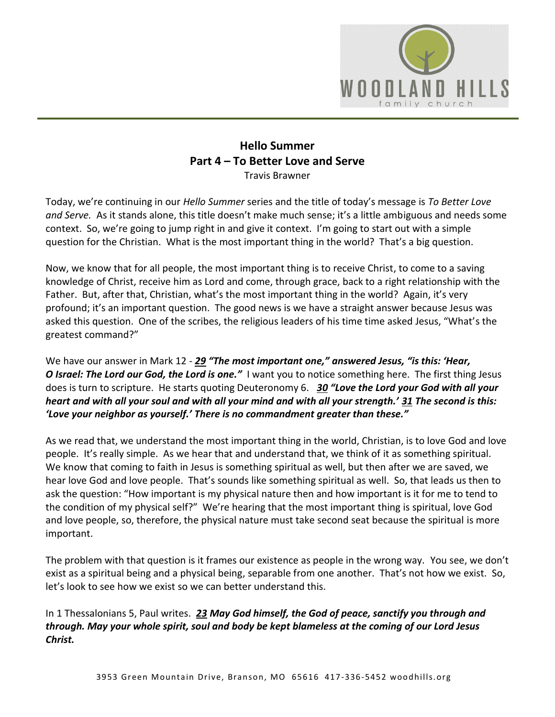

## **Hello Summer Part 4 – To Better Love and Serve** Travis Brawner

Today, we're continuing in our *Hello Summer* series and the title of today's message is *To Better Love and Serve.* As it stands alone, this title doesn't make much sense; it's a little ambiguous and needs some context. So, we're going to jump right in and give it context. I'm going to start out with a simple question for the Christian. What is the most important thing in the world? That's a big question.

Now, we know that for all people, the most important thing is to receive Christ, to come to a saving knowledge of Christ, receive him as Lord and come, through grace, back to a right relationship with the Father. But, after that, Christian, what's the most important thing in the world? Again, it's very profound; it's an important question. The good news is we have a straight answer because Jesus was asked this question. One of the scribes, the religious leaders of his time time asked Jesus, "What's the greatest command?"

We have our answer in Mark 12 - *[29](https://www.studylight.org/desk/?q=mr%2012:29&t1=en_niv&sr=1) "The most important one," answered Jesus, "is this: 'Hear, O Israel: The Lord our God, the Lord is one.* I want you to notice something here. The first thing Jesus does is turn to scripture. He starts quoting Deuteronomy 6. *[30](https://www.studylight.org/desk/?q=mr%2012:30&t1=en_niv&sr=1) "Love the Lord your God with all your heart and with all your soul and with all your mind and with all your strength.' [31](https://www.studylight.org/desk/?q=mr%2012:31&t1=en_niv&sr=1) The second is this: 'Love your neighbor as yourself.' There is no commandment greater than these."*

As we read that, we understand the most important thing in the world, Christian, is to love God and love people. It's really simple. As we hear that and understand that, we think of it as something spiritual. We know that coming to faith in Jesus is something spiritual as well, but then after we are saved, we hear love God and love people. That's sounds like something spiritual as well. So, that leads us then to ask the question: "How important is my physical nature then and how important is it for me to tend to the condition of my physical self?" We're hearing that the most important thing is spiritual, love God and love people, so, therefore, the physical nature must take second seat because the spiritual is more important.

The problem with that question is it frames our existence as people in the wrong way. You see, we don't exist as a spiritual being and a physical being, separable from one another. That's not how we exist. So, let's look to see how we exist so we can better understand this.

In 1 Thessalonians 5, Paul writes. *[23](https://www.studylight.org/desk/?q=1th%205:23&t1=en_niv&sr=1) May God himself, the God of peace, sanctify you through and through. May your whole spirit, soul and body be kept blameless at the coming of our Lord Jesus Christ.*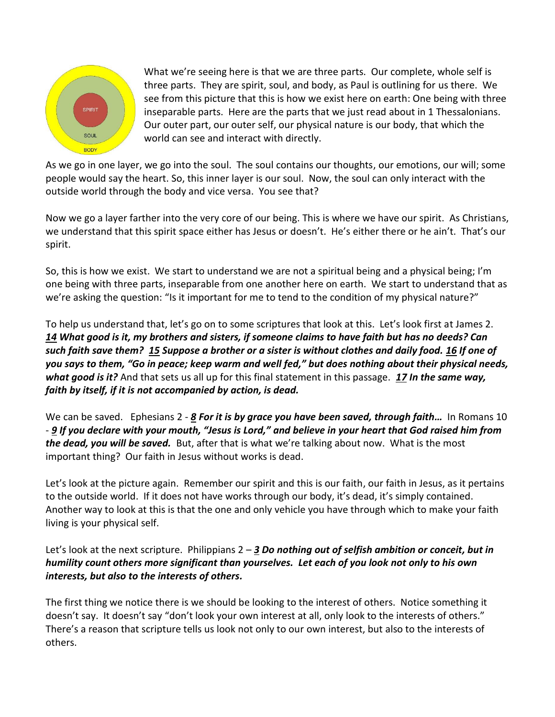

What we're seeing here is that we are three parts. Our complete, whole self is three parts. They are spirit, soul, and body, as Paul is outlining for us there. We see from this picture that this is how we exist here on earth: One being with three inseparable parts. Here are the parts that we just read about in 1 Thessalonians. Our outer part, our outer self, our physical nature is our body, that which the world can see and interact with directly.

As we go in one layer, we go into the soul. The soul contains our thoughts, our emotions, our will; some people would say the heart. So, this inner layer is our soul. Now, the soul can only interact with the outside world through the body and vice versa. You see that?

Now we go a layer farther into the very core of our being. This is where we have our spirit. As Christians, we understand that this spirit space either has Jesus or doesn't. He's either there or he ain't. That's our spirit.

So, this is how we exist. We start to understand we are not a spiritual being and a physical being; I'm one being with three parts, inseparable from one another here on earth. We start to understand that as we're asking the question: "Is it important for me to tend to the condition of my physical nature?"

To help us understand that, let's go on to some scriptures that look at this. Let's look first at James 2. *[14](https://www.studylight.org/desk/?q=jas%202:14&t1=en_niv&sr=1) What good is it, my brothers and sisters, if someone claims to have faith but has no deeds? Can such faith save them? [15](https://www.studylight.org/desk/?q=jas%202:15&t1=en_niv&sr=1) Suppose a brother or a sister is without clothes and daily food. [16](https://www.studylight.org/desk/?q=jas%202:16&t1=en_niv&sr=1) If one of you says to them, "Go in peace; keep warm and well fed," but does nothing about their physical needs, what good is it?* And that sets us all up for this final statement in this passage. *[17](https://www.studylight.org/desk/?q=jas%202:17&t1=en_niv&sr=1) In the same way, faith by itself, if it is not accompanied by action, is dead.*

We can be saved. Ephesians 2 - *[8](https://www.studylight.org/desk/?q=eph%202:8&t1=en_niv&sr=1) For it is by grace you have been saved, through faith…* In Romans 10 - *[9](https://www.studylight.org/desk/?q=ro%2010:9&t1=en_niv&sr=1) If you declare with your mouth, "Jesus is Lord," and believe in your heart that God raised him from the dead, you will be saved.* But, after that is what we're talking about now. What is the most important thing? Our faith in Jesus without works is dead.

Let's look at the picture again. Remember our spirit and this is our faith, our faith in Jesus, as it pertains to the outside world. If it does not have works through our body, it's dead, it's simply contained. Another way to look at this is that the one and only vehicle you have through which to make your faith living is your physical self.

## Let's look at the next scripture. Philippians 2 – *[3](https://www.studylight.org/desk/?q=php%202:3&t1=en_niv&sr=1) Do nothing out of selfish ambition or conceit, but in humility count others more significant than yourselves. Let each of you look not only to his own interests, but also to the interests of others.*

The first thing we notice there is we should be looking to the interest of others. Notice something it doesn't say. It doesn't say "don't look your own interest at all, only look to the interests of others." There's a reason that scripture tells us look not only to our own interest, but also to the interests of others.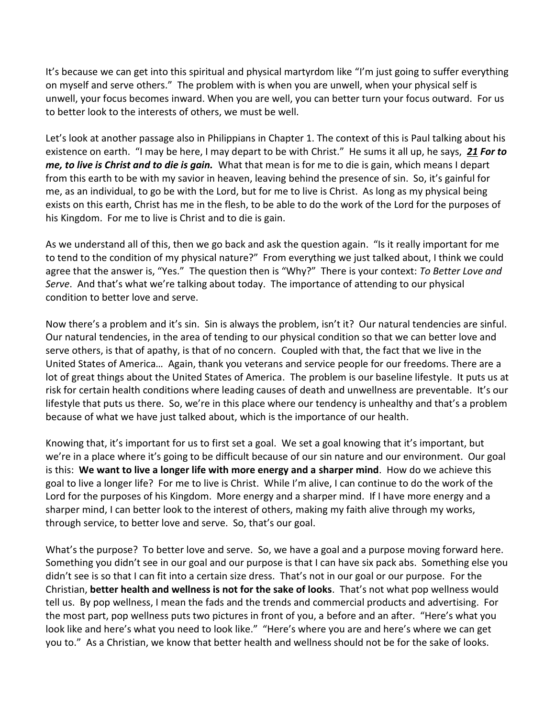It's because we can get into this spiritual and physical martyrdom like "I'm just going to suffer everything on myself and serve others." The problem with is when you are unwell, when your physical self is unwell, your focus becomes inward. When you are well, you can better turn your focus outward. For us to better look to the interests of others, we must be well.

Let's look at another passage also in Philippians in Chapter 1. The context of this is Paul talking about his existence on earth. "I may be here, I may depart to be with Christ." He sums it all up, he says, *[21](https://www.studylight.org/desk/?q=php%201:21&t1=en_niv&sr=1) For to me, to live is Christ and to die is gain.* What that mean is for me to die is gain, which means I depart from this earth to be with my savior in heaven, leaving behind the presence of sin. So, it's gainful for me, as an individual, to go be with the Lord, but for me to live is Christ. As long as my physical being exists on this earth, Christ has me in the flesh, to be able to do the work of the Lord for the purposes of his Kingdom. For me to live is Christ and to die is gain.

As we understand all of this, then we go back and ask the question again. "Is it really important for me to tend to the condition of my physical nature?" From everything we just talked about, I think we could agree that the answer is, "Yes." The question then is "Why?" There is your context: *To Better Love and Serve*. And that's what we're talking about today. The importance of attending to our physical condition to better love and serve.

Now there's a problem and it's sin. Sin is always the problem, isn't it? Our natural tendencies are sinful. Our natural tendencies, in the area of tending to our physical condition so that we can better love and serve others, is that of apathy, is that of no concern. Coupled with that, the fact that we live in the United States of America… Again, thank you veterans and service people for our freedoms. There are a lot of great things about the United States of America. The problem is our baseline lifestyle. It puts us at risk for certain health conditions where leading causes of death and unwellness are preventable. It's our lifestyle that puts us there. So, we're in this place where our tendency is unhealthy and that's a problem because of what we have just talked about, which is the importance of our health.

Knowing that, it's important for us to first set a goal. We set a goal knowing that it's important, but we're in a place where it's going to be difficult because of our sin nature and our environment. Our goal is this: **We want to live a longer life with more energy and a sharper mind**. How do we achieve this goal to live a longer life? For me to live is Christ. While I'm alive, I can continue to do the work of the Lord for the purposes of his Kingdom. More energy and a sharper mind. If I have more energy and a sharper mind, I can better look to the interest of others, making my faith alive through my works, through service, to better love and serve. So, that's our goal.

What's the purpose? To better love and serve. So, we have a goal and a purpose moving forward here. Something you didn't see in our goal and our purpose is that I can have six pack abs. Something else you didn't see is so that I can fit into a certain size dress. That's not in our goal or our purpose. For the Christian, **better health and wellness is not for the sake of looks**. That's not what pop wellness would tell us. By pop wellness, I mean the fads and the trends and commercial products and advertising. For the most part, pop wellness puts two pictures in front of you, a before and an after. "Here's what you look like and here's what you need to look like." "Here's where you are and here's where we can get you to." As a Christian, we know that better health and wellness should not be for the sake of looks.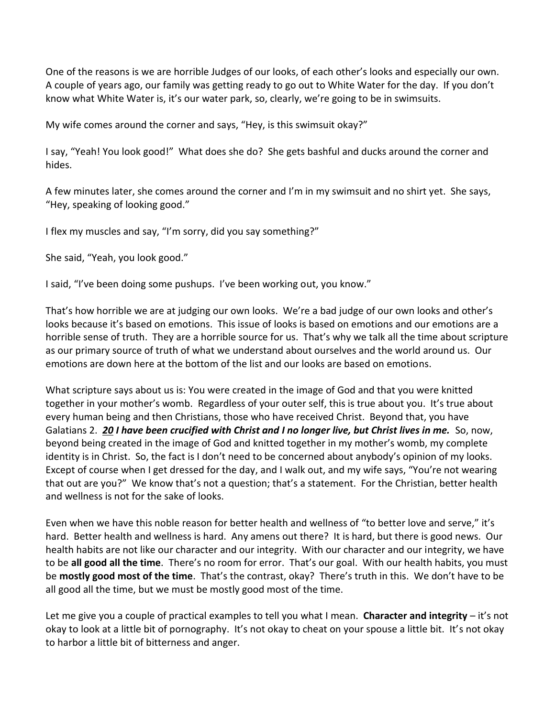One of the reasons is we are horrible Judges of our looks, of each other's looks and especially our own. A couple of years ago, our family was getting ready to go out to White Water for the day. If you don't know what White Water is, it's our water park, so, clearly, we're going to be in swimsuits.

My wife comes around the corner and says, "Hey, is this swimsuit okay?"

I say, "Yeah! You look good!" What does she do? She gets bashful and ducks around the corner and hides.

A few minutes later, she comes around the corner and I'm in my swimsuit and no shirt yet. She says, "Hey, speaking of looking good."

I flex my muscles and say, "I'm sorry, did you say something?"

She said, "Yeah, you look good."

I said, "I've been doing some pushups. I've been working out, you know."

That's how horrible we are at judging our own looks. We're a bad judge of our own looks and other's looks because it's based on emotions. This issue of looks is based on emotions and our emotions are a horrible sense of truth. They are a horrible source for us. That's why we talk all the time about scripture as our primary source of truth of what we understand about ourselves and the world around us. Our emotions are down here at the bottom of the list and our looks are based on emotions.

What scripture says about us is: You were created in the image of God and that you were knitted together in your mother's womb. Regardless of your outer self, this is true about you. It's true about every human being and then Christians, those who have received Christ. Beyond that, you have Galatians 2. *[20](https://www.studylight.org/desk/?q=ga%202:20&t1=en_niv&sr=1) I have been crucified with Christ and I no longer live, but Christ lives in me.* So, now, beyond being created in the image of God and knitted together in my mother's womb, my complete identity is in Christ. So, the fact is I don't need to be concerned about anybody's opinion of my looks. Except of course when I get dressed for the day, and I walk out, and my wife says, "You're not wearing that out are you?" We know that's not a question; that's a statement. For the Christian, better health and wellness is not for the sake of looks.

Even when we have this noble reason for better health and wellness of "to better love and serve," it's hard. Better health and wellness is hard. Any amens out there? It is hard, but there is good news. Our health habits are not like our character and our integrity. With our character and our integrity, we have to be **all good all the time**. There's no room for error. That's our goal. With our health habits, you must be **mostly good most of the time**. That's the contrast, okay? There's truth in this. We don't have to be all good all the time, but we must be mostly good most of the time.

Let me give you a couple of practical examples to tell you what I mean. **Character and integrity** – it's not okay to look at a little bit of pornography. It's not okay to cheat on your spouse a little bit. It's not okay to harbor a little bit of bitterness and anger.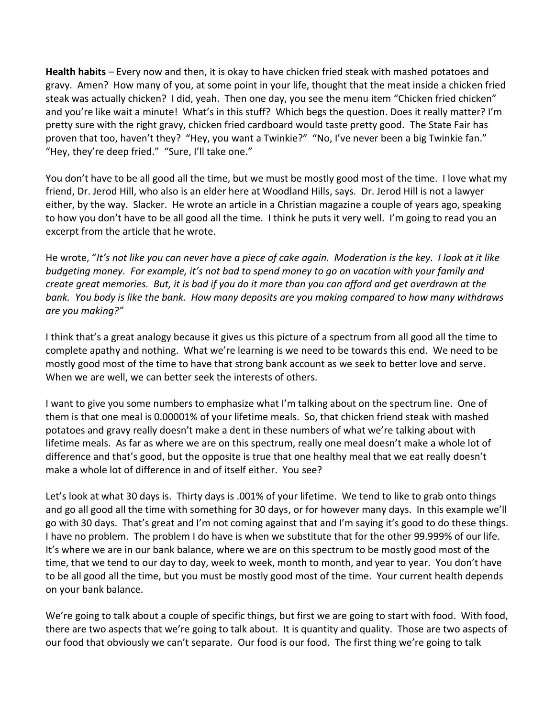**Health habits** – Every now and then, it is okay to have chicken fried steak with mashed potatoes and gravy. Amen? How many of you, at some point in your life, thought that the meat inside a chicken fried steak was actually chicken? I did, yeah. Then one day, you see the menu item "Chicken fried chicken" and you're like wait a minute! What's in this stuff? Which begs the question. Does it really matter? I'm pretty sure with the right gravy, chicken fried cardboard would taste pretty good. The State Fair has proven that too, haven't they? "Hey, you want a Twinkie?" "No, I've never been a big Twinkie fan." "Hey, they're deep fried." "Sure, I'll take one."

You don't have to be all good all the time, but we must be mostly good most of the time. I love what my friend, Dr. Jerod Hill, who also is an elder here at Woodland Hills, says. Dr. Jerod Hill is not a lawyer either, by the way. Slacker. He wrote an article in a Christian magazine a couple of years ago, speaking to how you don't have to be all good all the time. I think he puts it very well. I'm going to read you an excerpt from the article that he wrote.

He wrote, "*It's not like you can never have a piece of cake again. Moderation is the key. I look at it like budgeting money. For example, it's not bad to spend money to go on vacation with your family and create great memories. But, it is bad if you do it more than you can afford and get overdrawn at the bank. You body is like the bank. How many deposits are you making compared to how many withdraws are you making?"*

I think that's a great analogy because it gives us this picture of a spectrum from all good all the time to complete apathy and nothing. What we're learning is we need to be towards this end. We need to be mostly good most of the time to have that strong bank account as we seek to better love and serve. When we are well, we can better seek the interests of others.

I want to give you some numbers to emphasize what I'm talking about on the spectrum line. One of them is that one meal is 0.00001% of your lifetime meals. So, that chicken friend steak with mashed potatoes and gravy really doesn't make a dent in these numbers of what we're talking about with lifetime meals. As far as where we are on this spectrum, really one meal doesn't make a whole lot of difference and that's good, but the opposite is true that one healthy meal that we eat really doesn't make a whole lot of difference in and of itself either. You see?

Let's look at what 30 days is. Thirty days is .001% of your lifetime. We tend to like to grab onto things and go all good all the time with something for 30 days, or for however many days. In this example we'll go with 30 days. That's great and I'm not coming against that and I'm saying it's good to do these things. I have no problem. The problem I do have is when we substitute that for the other 99.999% of our life. It's where we are in our bank balance, where we are on this spectrum to be mostly good most of the time, that we tend to our day to day, week to week, month to month, and year to year. You don't have to be all good all the time, but you must be mostly good most of the time. Your current health depends on your bank balance.

We're going to talk about a couple of specific things, but first we are going to start with food. With food, there are two aspects that we're going to talk about. It is quantity and quality. Those are two aspects of our food that obviously we can't separate. Our food is our food. The first thing we're going to talk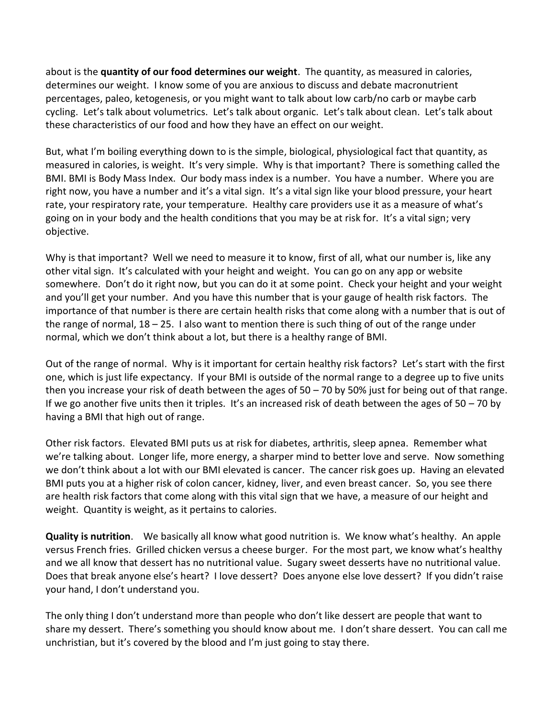about is the **quantity of our food determines our weight**. The quantity, as measured in calories, determines our weight. I know some of you are anxious to discuss and debate macronutrient percentages, paleo, ketogenesis, or you might want to talk about low carb/no carb or maybe carb cycling. Let's talk about volumetrics. Let's talk about organic. Let's talk about clean. Let's talk about these characteristics of our food and how they have an effect on our weight.

But, what I'm boiling everything down to is the simple, biological, physiological fact that quantity, as measured in calories, is weight. It's very simple. Why is that important? There is something called the BMI. BMI is Body Mass Index. Our body mass index is a number. You have a number. Where you are right now, you have a number and it's a vital sign. It's a vital sign like your blood pressure, your heart rate, your respiratory rate, your temperature. Healthy care providers use it as a measure of what's going on in your body and the health conditions that you may be at risk for. It's a vital sign; very objective.

Why is that important? Well we need to measure it to know, first of all, what our number is, like any other vital sign. It's calculated with your height and weight. You can go on any app or website somewhere. Don't do it right now, but you can do it at some point. Check your height and your weight and you'll get your number. And you have this number that is your gauge of health risk factors. The importance of that number is there are certain health risks that come along with a number that is out of the range of normal,  $18 - 25$ . I also want to mention there is such thing of out of the range under normal, which we don't think about a lot, but there is a healthy range of BMI.

Out of the range of normal. Why is it important for certain healthy risk factors? Let's start with the first one, which is just life expectancy. If your BMI is outside of the normal range to a degree up to five units then you increase your risk of death between the ages of 50 – 70 by 50% just for being out of that range. If we go another five units then it triples. It's an increased risk of death between the ages of  $50 - 70$  by having a BMI that high out of range.

Other risk factors. Elevated BMI puts us at risk for diabetes, arthritis, sleep apnea. Remember what we're talking about. Longer life, more energy, a sharper mind to better love and serve. Now something we don't think about a lot with our BMI elevated is cancer. The cancer risk goes up. Having an elevated BMI puts you at a higher risk of colon cancer, kidney, liver, and even breast cancer. So, you see there are health risk factors that come along with this vital sign that we have, a measure of our height and weight. Quantity is weight, as it pertains to calories.

**Quality is nutrition**. We basically all know what good nutrition is. We know what's healthy. An apple versus French fries. Grilled chicken versus a cheese burger. For the most part, we know what's healthy and we all know that dessert has no nutritional value. Sugary sweet desserts have no nutritional value. Does that break anyone else's heart? I love dessert? Does anyone else love dessert? If you didn't raise your hand, I don't understand you.

The only thing I don't understand more than people who don't like dessert are people that want to share my dessert. There's something you should know about me. I don't share dessert. You can call me unchristian, but it's covered by the blood and I'm just going to stay there.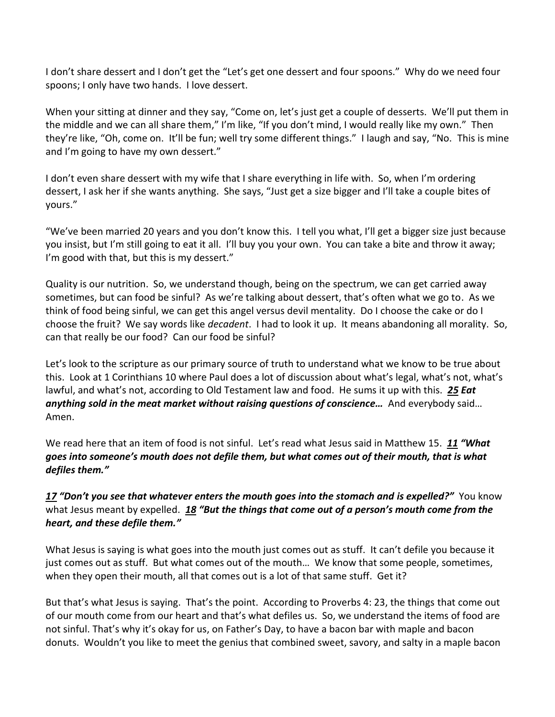I don't share dessert and I don't get the "Let's get one dessert and four spoons." Why do we need four spoons; I only have two hands. I love dessert.

When your sitting at dinner and they say, "Come on, let's just get a couple of desserts. We'll put them in the middle and we can all share them," I'm like, "If you don't mind, I would really like my own." Then they're like, "Oh, come on. It'll be fun; well try some different things." I laugh and say, "No. This is mine and I'm going to have my own dessert."

I don't even share dessert with my wife that I share everything in life with. So, when I'm ordering dessert, I ask her if she wants anything. She says, "Just get a size bigger and I'll take a couple bites of yours."

"We've been married 20 years and you don't know this. I tell you what, I'll get a bigger size just because you insist, but I'm still going to eat it all. I'll buy you your own. You can take a bite and throw it away; I'm good with that, but this is my dessert."

Quality is our nutrition. So, we understand though, being on the spectrum, we can get carried away sometimes, but can food be sinful? As we're talking about dessert, that's often what we go to. As we think of food being sinful, we can get this angel versus devil mentality. Do I choose the cake or do I choose the fruit? We say words like *decadent*. I had to look it up. It means abandoning all morality. So, can that really be our food? Can our food be sinful?

Let's look to the scripture as our primary source of truth to understand what we know to be true about this. Look at 1 Corinthians 10 where Paul does a lot of discussion about what's legal, what's not, what's lawful, and what's not, according to Old Testament law and food. He sums it up with this. *[25](https://www.studylight.org/desk/?q=1co%2010:25&t1=en_niv&sr=1) Eat anything sold in the meat market without raising questions of conscience…* And everybody said… Amen.

We read here that an item of food is not sinful. Let's read what Jesus said in Matthew 15. *[11](https://www.studylight.org/desk/?q=mt%2015:11&t1=en_niv&sr=1) "What goes into someone's mouth does not defile them, but what comes out of their mouth, that is what defiles them."* 

## *[17](https://www.studylight.org/desk/?q=mt%2015:17&t1=en_niv&sr=1) "Don't you see that whatever enters the mouth goes into the stomach and is expelled?"* You know what Jesus meant by expelled. [18](https://www.studylight.org/desk/?q=mt%2015:18&t1=en_niv&sr=1) "But the things that come out of a person's mouth come from the *heart, and these defile them."*

What Jesus is saying is what goes into the mouth just comes out as stuff. It can't defile you because it just comes out as stuff. But what comes out of the mouth… We know that some people, sometimes, when they open their mouth, all that comes out is a lot of that same stuff. Get it?

But that's what Jesus is saying. That's the point. According to Proverbs 4: 23, the things that come out of our mouth come from our heart and that's what defiles us. So, we understand the items of food are not sinful. That's why it's okay for us, on Father's Day, to have a bacon bar with maple and bacon donuts. Wouldn't you like to meet the genius that combined sweet, savory, and salty in a maple bacon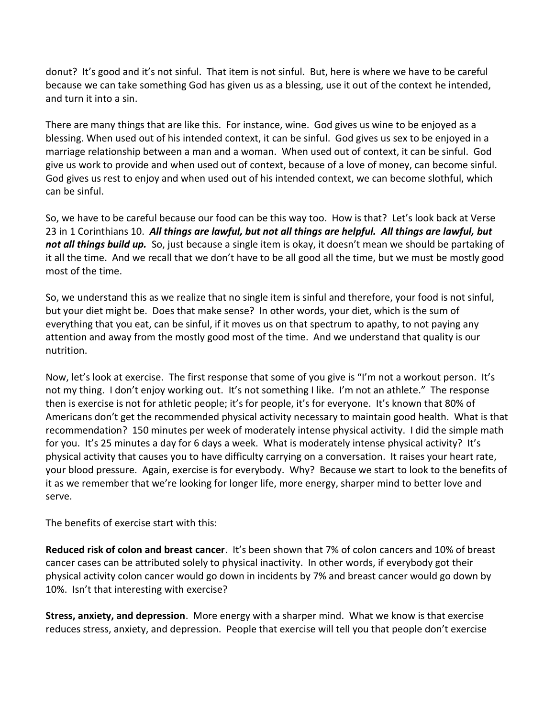donut? It's good and it's not sinful. That item is not sinful. But, here is where we have to be careful because we can take something God has given us as a blessing, use it out of the context he intended, and turn it into a sin.

There are many things that are like this. For instance, wine. God gives us wine to be enjoyed as a blessing. When used out of his intended context, it can be sinful. God gives us sex to be enjoyed in a marriage relationship between a man and a woman. When used out of context, it can be sinful. God give us work to provide and when used out of context, because of a love of money, can become sinful. God gives us rest to enjoy and when used out of his intended context, we can become slothful, which can be sinful.

So, we have to be careful because our food can be this way too. How is that? Let's look back at Verse 23 in 1 Corinthians 10. *All things are lawful, but not all things are helpful. All things are lawful, but not all things build up.* So, just because a single item is okay, it doesn't mean we should be partaking of it all the time. And we recall that we don't have to be all good all the time, but we must be mostly good most of the time.

So, we understand this as we realize that no single item is sinful and therefore, your food is not sinful, but your diet might be. Does that make sense? In other words, your diet, which is the sum of everything that you eat, can be sinful, if it moves us on that spectrum to apathy, to not paying any attention and away from the mostly good most of the time. And we understand that quality is our nutrition.

Now, let's look at exercise. The first response that some of you give is "I'm not a workout person. It's not my thing. I don't enjoy working out. It's not something I like. I'm not an athlete." The response then is exercise is not for athletic people; it's for people, it's for everyone. It's known that 80% of Americans don't get the recommended physical activity necessary to maintain good health. What is that recommendation? 150 minutes per week of moderately intense physical activity. I did the simple math for you. It's 25 minutes a day for 6 days a week. What is moderately intense physical activity? It's physical activity that causes you to have difficulty carrying on a conversation. It raises your heart rate, your blood pressure. Again, exercise is for everybody. Why? Because we start to look to the benefits of it as we remember that we're looking for longer life, more energy, sharper mind to better love and serve.

The benefits of exercise start with this:

**Reduced risk of colon and breast cancer**. It's been shown that 7% of colon cancers and 10% of breast cancer cases can be attributed solely to physical inactivity. In other words, if everybody got their physical activity colon cancer would go down in incidents by 7% and breast cancer would go down by 10%. Isn't that interesting with exercise?

**Stress, anxiety, and depression**. More energy with a sharper mind. What we know is that exercise reduces stress, anxiety, and depression. People that exercise will tell you that people don't exercise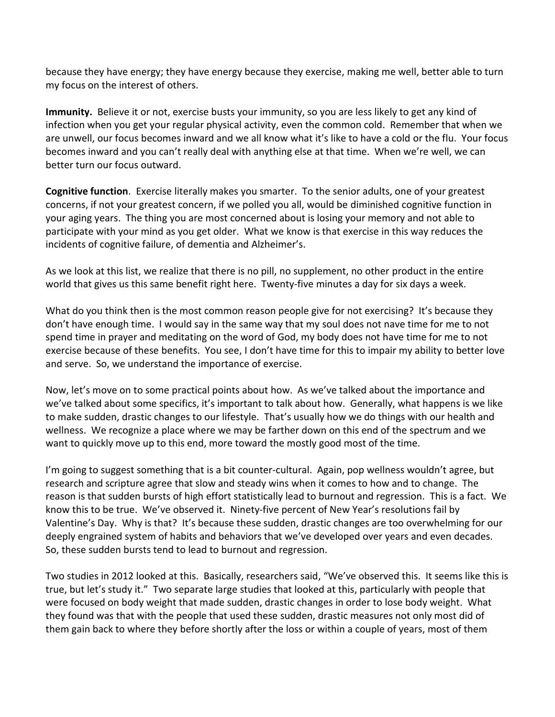because they have energy; they have energy because they exercise, making me well, better able to turn my focus on the interest of others.

**Immunity.** Believe it or not, exercise busts your immunity, so you are less likely to get any kind of infection when you get your regular physical activity, even the common cold. Remember that when we are unwell, our focus becomes inward and we all know what it's like to have a cold or the flu. Your focus becomes inward and you can't really deal with anything else at that time. When we're well, we can better turn our focus outward.

**Cognitive function**. Exercise literally makes you smarter. To the senior adults, one of your greatest concerns, if not your greatest concern, if we polled you all, would be diminished cognitive function in your aging years. The thing you are most concerned about is losing your memory and not able to participate with your mind as you get older. What we know is that exercise in this way reduces the incidents of cognitive failure, of dementia and Alzheimer's.

As we look at this list, we realize that there is no pill, no supplement, no other product in the entire world that gives us this same benefit right here. Twenty-five minutes a day for six days a week.

What do you think then is the most common reason people give for not exercising? It's because they don't have enough time. I would say in the same way that my soul does not nave time for me to not spend time in prayer and meditating on the word of God, my body does not have time for me to not exercise because of these benefits. You see, I don't have time for this to impair my ability to better love and serve. So, we understand the importance of exercise.

Now, let's move on to some practical points about how. As we've talked about the importance and we've talked about some specifics, it's important to talk about how. Generally, what happens is we like to make sudden, drastic changes to our lifestyle. That's usually how we do things with our health and wellness. We recognize a place where we may be farther down on this end of the spectrum and we want to quickly move up to this end, more toward the mostly good most of the time.

I'm going to suggest something that is a bit counter-cultural. Again, pop wellness wouldn't agree, but research and scripture agree that slow and steady wins when it comes to how and to change. The reason is that sudden bursts of high effort statistically lead to burnout and regression. This is a fact. We know this to be true. We've observed it. Ninety-five percent of New Year's resolutions fail by Valentine's Day. Why is that? It's because these sudden, drastic changes are too overwhelming for our deeply engrained system of habits and behaviors that we've developed over years and even decades. So, these sudden bursts tend to lead to burnout and regression.

Two studies in 2012 looked at this. Basically, researchers said, "We've observed this. It seems like this is true, but let's study it." Two separate large studies that looked at this, particularly with people that were focused on body weight that made sudden, drastic changes in order to lose body weight. What they found was that with the people that used these sudden, drastic measures not only most did of them gain back to where they before shortly after the loss or within a couple of years, most of them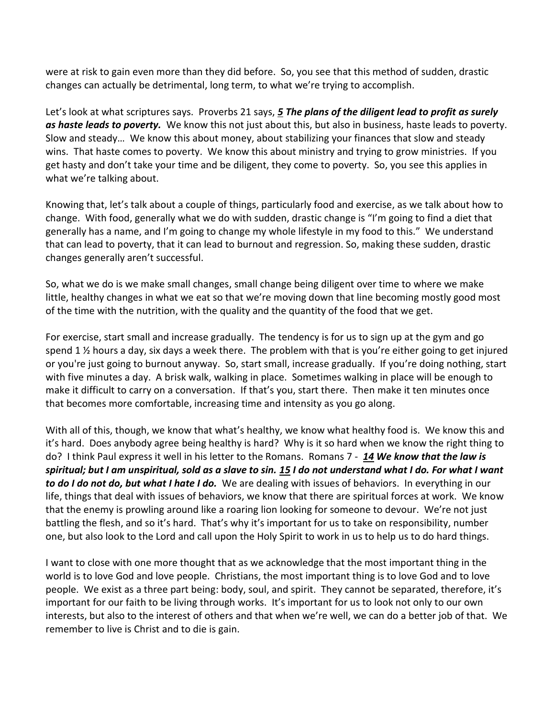were at risk to gain even more than they did before. So, you see that this method of sudden, drastic changes can actually be detrimental, long term, to what we're trying to accomplish.

Let's look at what scriptures says. Proverbs 21 says, *[5](https://www.studylight.org/desk/?q=pr%2021:5&t1=en_niv&sr=1) The plans of the diligent lead to profit as surely as haste leads to poverty.* We know this not just about this, but also in business, haste leads to poverty. Slow and steady… We know this about money, about stabilizing your finances that slow and steady wins. That haste comes to poverty. We know this about ministry and trying to grow ministries. If you get hasty and don't take your time and be diligent, they come to poverty. So, you see this applies in what we're talking about.

Knowing that, let's talk about a couple of things, particularly food and exercise, as we talk about how to change. With food, generally what we do with sudden, drastic change is "I'm going to find a diet that generally has a name, and I'm going to change my whole lifestyle in my food to this." We understand that can lead to poverty, that it can lead to burnout and regression. So, making these sudden, drastic changes generally aren't successful.

So, what we do is we make small changes, small change being diligent over time to where we make little, healthy changes in what we eat so that we're moving down that line becoming mostly good most of the time with the nutrition, with the quality and the quantity of the food that we get.

For exercise, start small and increase gradually. The tendency is for us to sign up at the gym and go spend 1  $\frac{1}{2}$  hours a day, six days a week there. The problem with that is you're either going to get injured or you're just going to burnout anyway. So, start small, increase gradually. If you're doing nothing, start with five minutes a day. A brisk walk, walking in place. Sometimes walking in place will be enough to make it difficult to carry on a conversation. If that's you, start there. Then make it ten minutes once that becomes more comfortable, increasing time and intensity as you go along.

With all of this, though, we know that what's healthy, we know what healthy food is. We know this and it's hard. Does anybody agree being healthy is hard? Why is it so hard when we know the right thing to do? I think Paul express it well in his letter to the Romans. Romans 7 - *[14](https://www.studylight.org/desk/?q=ro%207:14&t1=en_niv&sr=1) We know that the law is spiritual; but I am unspiritual, sold as a slave to sin. [15](https://www.studylight.org/desk/?q=ro%207:15&t1=en_niv&sr=1) I do not understand what I do. For what I want to do I do not do, but what I hate I do.* We are dealing with issues of behaviors. In everything in our life, things that deal with issues of behaviors, we know that there are spiritual forces at work. We know that the enemy is prowling around like a roaring lion looking for someone to devour. We're not just battling the flesh, and so it's hard. That's why it's important for us to take on responsibility, number one, but also look to the Lord and call upon the Holy Spirit to work in us to help us to do hard things.

I want to close with one more thought that as we acknowledge that the most important thing in the world is to love God and love people. Christians, the most important thing is to love God and to love people. We exist as a three part being: body, soul, and spirit. They cannot be separated, therefore, it's important for our faith to be living through works. It's important for us to look not only to our own interests, but also to the interest of others and that when we're well, we can do a better job of that. We remember to live is Christ and to die is gain.